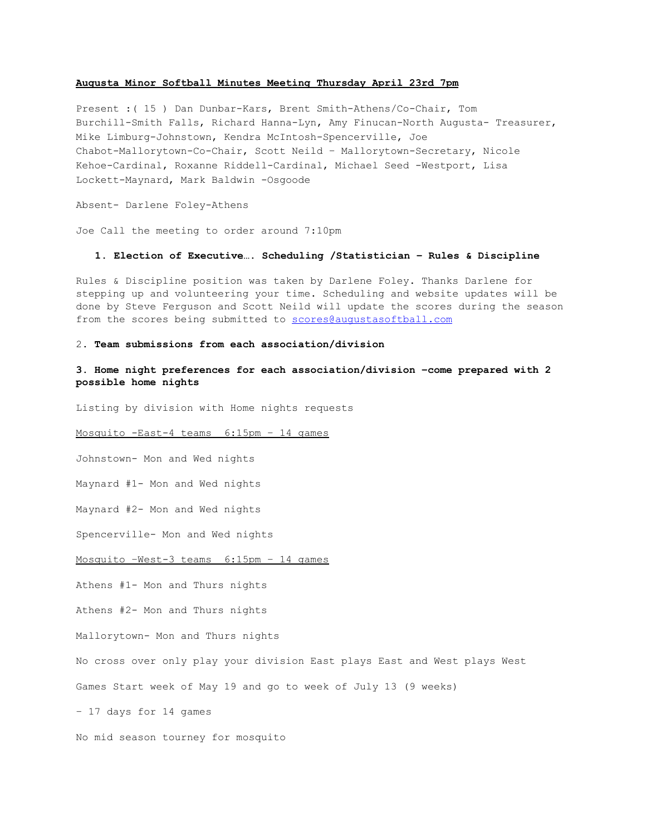#### **Augusta Minor Softball Minutes Meeting Thursday April 23rd 7pm**

Present : (15 ) Dan Dunbar-Kars, Brent Smith-Athens/Co-Chair, Tom Burchill-Smith Falls, Richard Hanna-Lyn, Amy Finucan-North Augusta- Treasurer, Mike Limburg-Johnstown, Kendra McIntosh-Spencerville, Joe Chabot-Mallorytown-Co-Chair, Scott Neild - Mallorytown-Secretary, Nicole Kehoe-Cardinal, Roxanne Riddell-Cardinal, Michael Seed -Westport, Lisa Lockett-Maynard, Mark Baldwin -Osgoode

Absent- Darlene Foley-Athens

Joe Call the meeting to order around 7:10pm

## **1. Election of Executive…. Scheduling /Statistician – Rules & Discipline**

Rules & Discipline position was taken by Darlene Foley. Thanks Darlene for stepping up and volunteering your time. Scheduling and website updates will be done by Steve Ferguson and Scott Neild will update the scores during the season from the scores being submitted to [scores@augustasoftball.com](mailto:scores@augustasoftball.com)

# 2**. Team submissions from each association/division**

# **3. Home night preferences for each association/division –come prepared with 2 possible home nights**

Listing by division with Home nights requests

Mosquito -East-4 teams 6:15pm - 14 games

Johnstown- Mon and Wed nights

Maynard #1- Mon and Wed nights

Maynard #2- Mon and Wed nights

Spencerville- Mon and Wed nights

Mosquito  $-West-3$  teams  $6:15pm - 14$  games

Athens #1- Mon and Thurs nights

Athens #2- Mon and Thurs nights

Mallorytown- Mon and Thurs nights

No cross over only play your division East plays East and West plays West

Games Start week of May 19 and go to week of July 13 (9 weeks)

– 17 days for 14 games

No mid season tourney for mosquito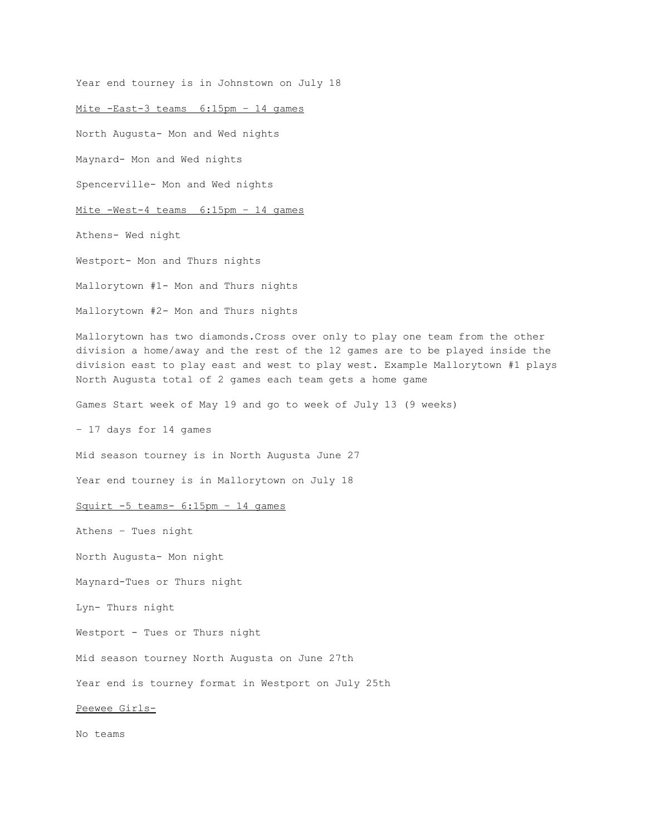Year end tourney is in Johnstown on July 18 Mite  $-East-3 teams 6:15pm - 14 games$ North Augusta- Mon and Wed nights Maynard- Mon and Wed nights Spencerville- Mon and Wed nights Mite -West-4 teams 6:15pm - 14 games Athens- Wed night Westport- Mon and Thurs nights Mallorytown #1- Mon and Thurs nights Mallorytown #2- Mon and Thurs nights Mallorytown has two diamonds.Cross over only to play one team from the other division a home/away and the rest of the 12 games are to be played inside the division east to play east and west to play west. Example Mallorytown #1 plays North Augusta total of 2 games each team gets a home game Games Start week of May 19 and go to week of July 13 (9 weeks) – 17 days for 14 games Mid season tourney is in North Augusta June 27 Year end tourney is in Mallorytown on July 18 Squirt  $-5$  teams  $-6:15$ pm  $-14$  games Athens – Tues night North Augusta- Mon night Maynard-Tues or Thurs night Lyn- Thurs night Westport - Tues or Thurs night Mid season tourney North Augusta on June 27th Year end is tourney format in Westport on July 25th Peewee Girls-No teams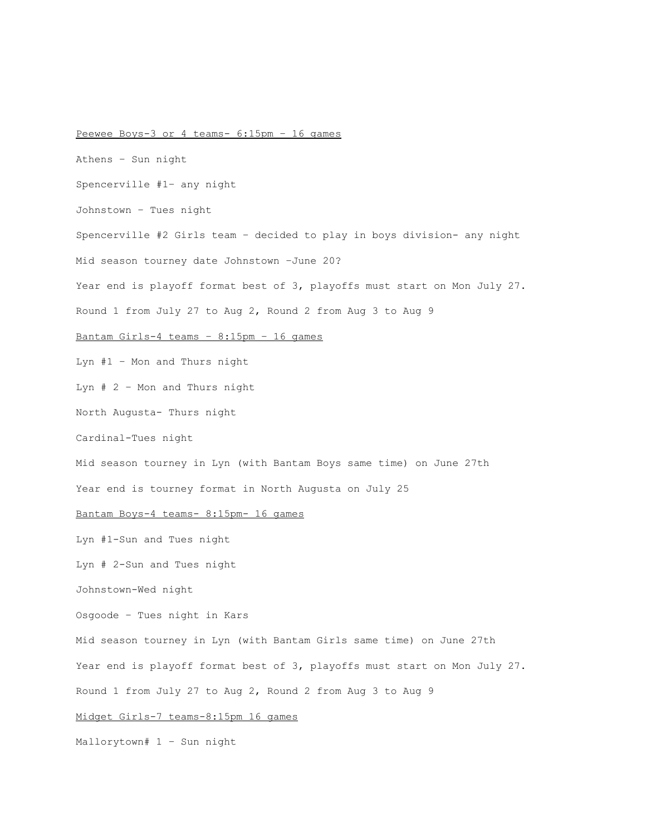# Peewee Boys-3 or 4 teams- 6:15pm - 16 games Athens – Sun night Spencerville #1– any night Johnstown – Tues night Spencerville #2 Girls team - decided to play in boys division- any night Mid season tourney date Johnstown –June 20? Year end is playoff format best of 3, playoffs must start on Mon July 27. Round 1 from July 27 to Aug 2, Round 2 from Aug 3 to Aug 9 Bantam Girls-4 teams -  $8:15$ pm - 16 games Lyn #1 – Mon and Thurs night Lyn # 2 – Mon and Thurs night North Augusta- Thurs night Cardinal-Tues night Mid season tourney in Lyn (with Bantam Boys same time) on June 27th Year end is tourney format in North Augusta on July 25 Bantam Boys-4 teams- 8:15pm- 16 games Lyn #1-Sun and Tues night Lyn  $# 2-Sun$  and Tues night Johnstown-Wed night Osgoode – Tues night in Kars Mid season tourney in Lyn (with Bantam Girls same time) on June 27th Year end is playoff format best of 3, playoffs must start on Mon July 27. Round 1 from July 27 to Aug 2, Round 2 from Aug 3 to Aug 9 Midget Girls-7 teams-8:15pm 16 games

Mallorytown# 1 – Sun night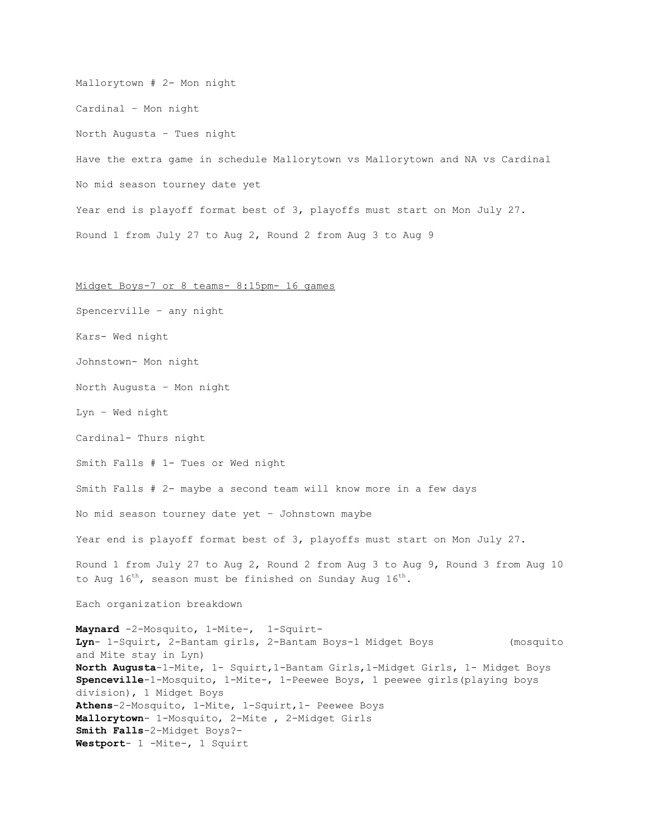Mallorytown # 2- Mon night Cardinal – Mon night North Augusta – Tues night Have the extra game in schedule Mallorytown vs Mallorytown and NA vs Cardinal No mid season tourney date yet Year end is playoff format best of 3, playoffs must start on Mon July 27. Round 1 from July 27 to Aug 2, Round 2 from Aug 3 to Aug 9

#### Midget Boys-7 or 8 teams- 8:15pm- 16 games

Spencerville – any night Kars- Wed night Johnstown- Mon night North Augusta – Mon night Lyn – Wed night Cardinal- Thurs night Smith Falls # 1- Tues or Wed night Smith Falls # 2- maybe a second team will know more in a few days No mid season tourney date yet – Johnstown maybe Year end is playoff format best of 3, playoffs must start on Mon July 27. Round 1 from July 27 to Aug 2, Round 2 from Aug 3 to Aug 9, Round 3 from Aug 10 to Aug  $16^{th}$ , season must be finished on Sunday Aug  $16^{th}$ . Each organization breakdown Maynard -2-Mosquito, 1-Mite-, 1-Squirt-Lyn- 1-Squirt, 2-Bantam girls, 2-Bantam Boys-1 Midget Boys (mosquito and Mite stay in Lyn) North **Augusta**-1-Mite, 1- Squirt,1-Bantam Girls,1-Midget Girls, 1- Midget Boys **Spenceville**-1-Mosquito, 1-Mite-, 1-Peewee Boys, 1 peewee girls(playing boys division), 1 Midget Boys Athens-2-Mosquito, 1-Mite, 1-Squirt, 1- Peewee Boys Mallorytown- 1-Mosquito, 2-Mite, 2-Midget Girls Smith Falls-2-Midget Boys?-Westport- 1 -Mite-, 1 Squirt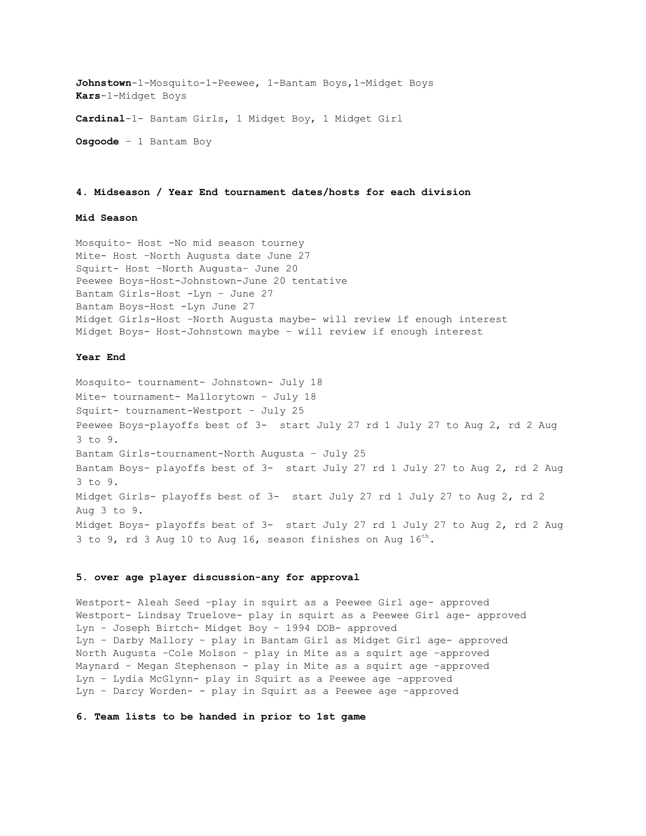Johnstown-1-Mosquito-1-Peewee, 1-Bantam Boys, 1-Midget Boys Kars-1-Midget Boys Cardinal-1- Bantam Girls, 1 Midget Boy, 1 Midget Girl **Osgoode**– 1 Bantam Boy

# **4. Midseason / Year End tournament dates/hosts for each division**

# **Mid Season**

Mosquito- Host -No mid season tourney Mite- Host -North Augusta date June 27 Squirt- Host -North Augusta- June 20 Peewee Boys-Host-Johnstown-June 20 tentative Bantam Girls-Host -Lyn - June 27 Bantam Boys-Host -Lyn June 27 Midget Girls-Host -North Augusta maybe- will review if enough interest Midget Boys- Host-Johnstown maybe - will review if enough interest

## **Year End**

Mosquito- tournament- Johnstown- July 18 Mite- tournament- Mallorytown - July 18 Squirt- tournament-Westport - July 25 Peewee Boys-playoffs best of 3- start July 27 rd 1 July 27 to Aug 2, rd 2 Aug 3 to 9. Bantam Girls-tournament-North Augusta - July 25 Bantam Boys- playoffs best of 3- start July 27 rd 1 July 27 to Aug 2, rd 2 Aug 3 to 9. Midget Girls- playoffs best of 3- start July 27 rd 1 July 27 to Aug 2, rd 2 Aug 3 to 9. Midget Boys- playoffs best of 3- start July 27 rd 1 July 27 to Aug 2, rd 2 Aug 3 to 9, rd 3 Aug 10 to Aug 16, season finishes on Aug  $16^{th}$ .

# **5. over** age player discussion-any for approval

Westport- Aleah Seed -play in squirt as a Peewee Girl age- approved Westport- Lindsay Truelove- play in squirt as a Peewee Girl age- approved Lyn - Joseph Birtch- Midget Boy - 1994 DOB- approved Lyn - Darby Mallory - play in Bantam Girl as Midget Girl age- approved North Augusta –Cole Molson – play in Mite as a squirt age –approved Maynard - Megan Stephenson - play in Mite as a squirt age -approved Lyn - Lydia McGlynn- play in Squirt as a Peewee age -approved Lyn - Darcy Worden- - play in Squirt as a Peewee age -approved

# **6. Team lists to be handed in prior to 1st game**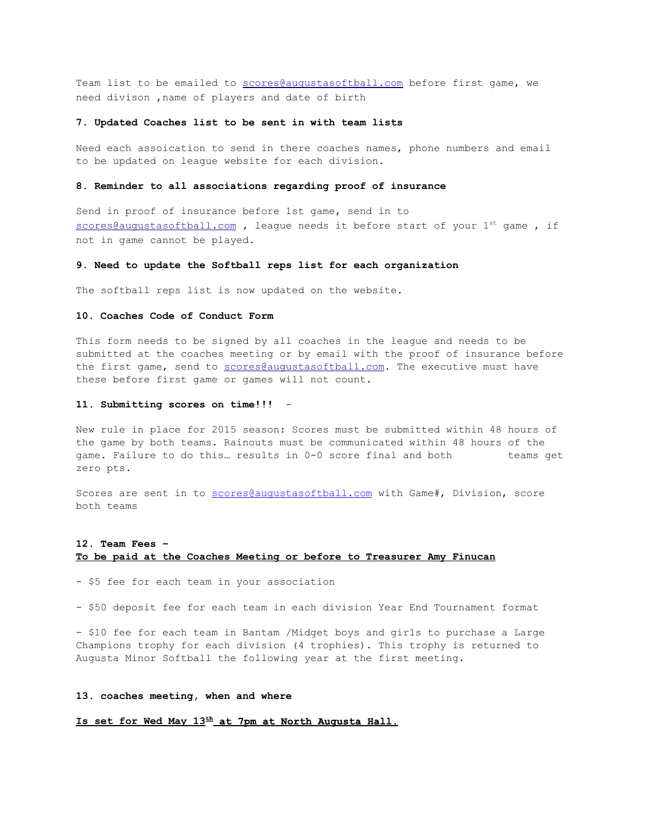Team list to be emailed to [scores@augustas](mailto:scores@augusta)oftball.com before first game, we need divison ,name of players and date of birth

## **7. Updated Coaches list to be sent in with team lists**

Need each assoication to send in there coaches names, phone numbers and email to be updated on league website for each division.

#### **8. Reminder to all associations regarding proof of insurance**

Send in proof of insurance before 1st game, send in to  $scores@augustasoftball.com$ , league needs it before start of your  $1^{st}$  game, if not in game cannot be played.

#### **9. Need to update the Softball reps list for each organization**

The softball reps list is now updated on the website.

## **10. Coaches Code of Conduct Form**

This form needs to be signed by all coaches in the league and needs to be submitted at the coaches meeting or by email with the proof of insurance before the first game, send to [scores@augustasoftball.com.](mailto:scores@auggusta.com) The executive must have these before first game or games will not count.

#### **11. Submitting scores on time!!!**

New rule in place for 2015 season: Scores must be submitted within 48 hours of the game by both teams. Rainouts must be communicated within 48 hours of the game. Failure to do this... results in 0-0 score final and both teams get zero pts.

Scores are sent in to [scores@augustasoftball.com](mailto:scores@augustasoftball.com) with Game#, Division, score both teams

# **12. Team Fees – To be paid at the Coaches Meeting or before to Treasurer Amy Finucan**

- \$5 fee for each team in your association

- \$50 deposit fee for each team in each division Year End Tournament format

- \$10 fee for each team in Bantam /Midget boys and girls to purchase a Large Champions trophy for each division (4 trophies). This trophy is returned to Augusta Minor Softball the following year at the first meeting.

## **13. coaches meeting, when and where**

# **Is set for Wed May 13that 7pm at North Augusta Hall.**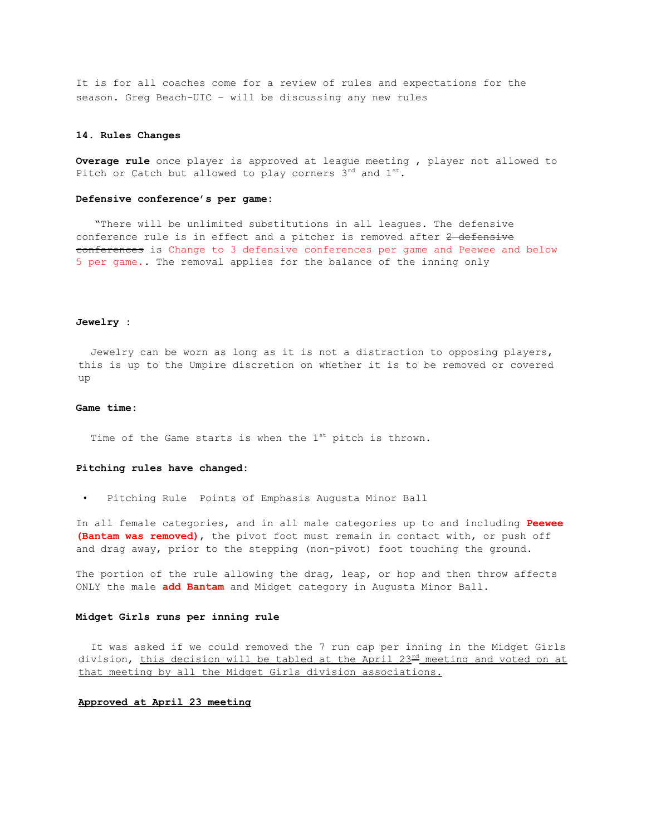It is for all coaches come for a review of rules and expectations for the season. Greq Beach-UIC - will be discussing any new rules

#### **14. Rules Changes**

**Overage rule** once player is approved at league meeting , player not allowed to Pitch or Catch but allowed to play corners 3rd and 1st.

## **Defensive conference's per game:**

"There will be unlimited substitutions in all leagues. The defensive conference rule is in effect and a pitcher is removed after 2 defensive conferences is Change to 3 defensive conferences per game and Peewee and below 5 per game**.**. The removal applies for the balance of the inning only

#### **Jewelry :**

Jewelry can be worn as long as it is not a distraction to opposing players, this is up to the Umpire discretion on whether it is to be removed or covered up

## **Game time:**

Time of the Game starts is when the  $1^{st}$  pitch is thrown.

#### **Pitching rules have changed:**

• Pitching Rule Points of Emphasis Augusta Minor Ball

In all female categories, and in all male categories up to and including **Peewee (Bantam was removed)**, the pivot foot must remain in contact with, or push off and drag away, prior to the stepping (non-pivot) foot touching the ground.

The portion of the rule allowing the drag, leap, or hop and then throw affects ONLY the male **add Bantam** and Midget category in Augusta Minor Ball.

## **Midget Girls runs per inning rule**

It was asked if we could removed the 7 run cap per inning in the Midget Girls division, this decision will be tabled at the April  $23<sup>rd</sup>$  meeting and voted on at that meeting by all the Midget Girls division associations.

#### **Approved at April 23 meeting**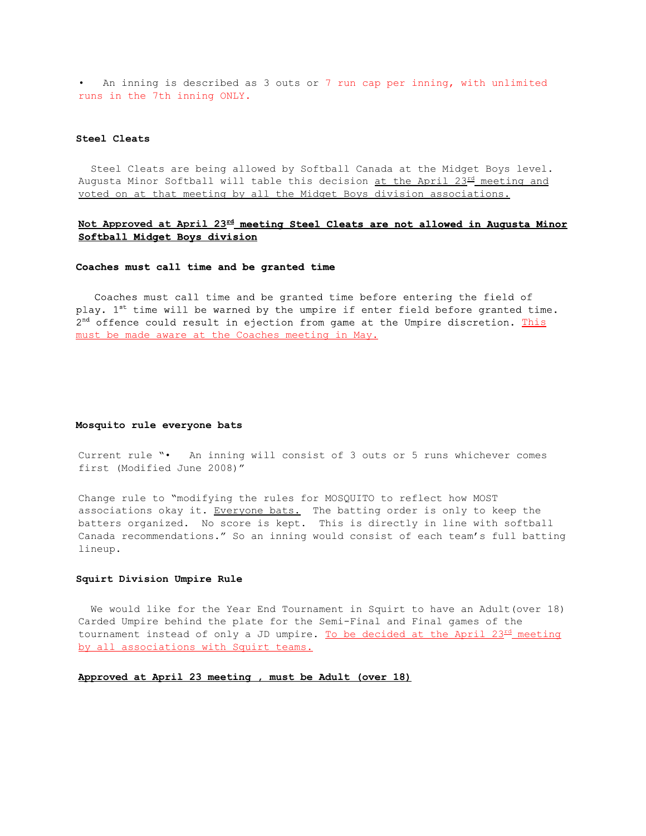• An inning is described as 3 outs or 7 run cap per inning, with unlimited runs in the 7th inning ONLY.

# **Steel Cleats**

Steel Cleats are being allowed by Softball Canada at the Midget Boys level. Augusta Minor Softball will table this decision at the April  $23<sup>rd</sup>$  meeting and voted on at that meeting by all the Midget Boys division associations.

# **Not Approved at April 23rdmeeting Steel Cleats are not allowed in Augusta Minor Softball Midget Boys division**

## **Coaches must call time and be granted time**

Coaches must call time and be granted time before entering the field of play. 1<sup>st</sup> time will be warned by the umpire if enter field before granted time.  $2<sup>nd</sup>$  offence could result in ejection from game at the Umpire discretion. This must be made aware at the Coaches meeting in May.

#### **Mosquito rule everyone bats**

Current rule "• An inning will consist of 3 outs or 5 runs whichever comes first (Modified June 2008)"

Change rule to "modifying the rules for MOSQUITO to reflect how MOST associations okay it. Everyone bats. The batting order is only to keep the batters organized. No score is kept. This is directly in line with softball Canada recommendations." So an inning would consist of each team's full batting lineup.

#### **Squirt Division Umpire Rule**

We would like for the Year End Tournament in Squirt to have an Adult(over 18) Carded Umpire behind the plate for the Semi-Final and Final games of the tournament instead of only a JD umpire. To be decided at the April  $23<sup>rd</sup>$  meeting by all associations with Squirt teams.

### **Approved at April 23 meeting , must be Adult (over 18)**